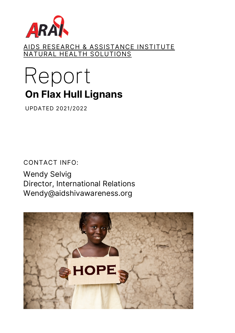

<u>AIDS RESEARCH & ASSISTANCE INSTITUTE</u> NATURAL HEALTH SOLUTIONS

# Report **On Flax Hull Lignans**

UPDATED 2021/2022

CONTACT INFO:

Wendy Selvig Director, International Relations Wendy@aidshivawareness.org

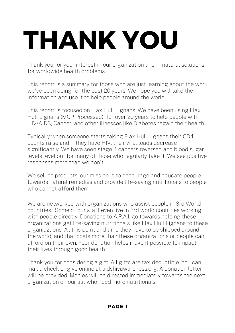# **THANK YOU**

Thank you for your interest in our organization and in natural solutions for worldwide health problems.

This report is a summary for those who are just learning about the work we've been doing for the past 20 years. We hope you will take the information and use it to help people around the world.

This report is focused on Flax Hull Lignans. We have been using Flax Hull Lignans (MCP Processed) for over 20 years to help people with HIV/AIDS, Cancer, and other illnesses like Diabetes regain their health.

Typically when someone starts taking Flax Hull Lignans their CD4 counts raise and if they have HIV, their viral loads decrease significantly. We have seen stage 4 cancers reversed and blood sugar levels level out for many of those who regularly take it. We see positive responses more than we don't.

We sell no products, our mission is to encourage and educate people towards natural remedies and provide life-saving nutritionals to people who cannot afford them.

We are networked with organizations who assist people in 3rd World countries. Some of our staff even live in 3rd world countries working with people directly. Donations to A.R.A.I. go towards helping these organizations get life-saving nutritionals like Flax Hull Lignans to these organiaztions. At this point and time they have to be shipped around the world, and that costs more than these organizations or people can afford on their own. Your donation helps make it possible to impact their lives through good health.

Thank you for considering a gift. All gifts are tax-deductible. You can mail a check or give online at aidshivawareness.org. A donation letter will be provided. Monies will be directed immediately towards the next organization on our list who need more nutritionals.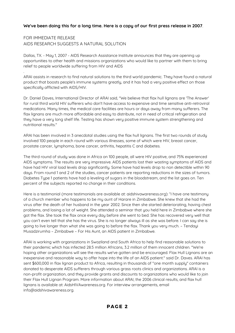#### **We've been doing this for a long time. Here is a copy of our first press release in 2007**.

#### FOR IMMEDIATE RELEASE AIDS RESEARCH SUGGESTS A NATURAL SOLUTION

.

Dallas, TX. - May 1, 2007 - AIDS Research Assistance Institute announces that they are opening up opportunities to other health and missions organizations who would like to partner with them to bring relief to people worldwide suffering from HIV and AIDS

ARAI assists in research to find natural solutions to the third world pandemic. They have found a natural product that boosts people's immune systems greatly, and it has had a very positive effect on those specifically afflicted with AIDS/HIV.

Dr. Daniel Daves, International Director of ARAI said, "We believe that flax hull lignans are 'The Answer' for rural third world HIV sufferers who don't have access to expensive and time sensitive anti-retroviral medications. Many times, the medical care facilities are hours or days away from many sufferers. The flax lignans are much more affordable and easy to distribute, not in need of critical refrigeration and they have a very long shelf life. Testing has shown very positive immune system strengthening and nutritional results."

ARAI has been involved in 3 anecdotal studies using the flax hull lignans. The first two rounds of study involved 100 people in each round with various illnesses, some of which were HIV, breast cancer, prostate cancer, lymphoma, bone cancer, arthritis, hepatitis C and diabetes.

The third round of study was done in Africa on 100 people, all were HIV positive, and 75% experienced AIDS symptoms. The results are very impressive. AIDS patients lost their wasting symptoms of AIDS and have had HIV viral load levels drop significantly. Some have had levels drop to non detectible within 90 days. From round 1 and 2 of the studies, cancer patients are reporting reductions in the sizes of tumors. Diabetes Type 1 patients have had a leveling of sugars in the bloodstream, and the list goes on. Ten percent of the subjects reported no change in their conditions.

Here is a testimonial (more testimonials are available at: aidshivawareness.org): "I have one testimony of a church member who happens to be my aunt of Harare in Zimbabwe. She knew that she had the virus after the death of her husband in the year 2002. Since then she started deteriorating, having chest problems, and losing a lot of weight. She attended a seminar that you held here in Zimbabwe where she got the flax. She took the flax once every day before she went to bed. She has recovered very well that you can't even tell that she has the virus. She is no longer always ill as she was before. I can say she is going to live longer than what she was going to before the flax. Thank you very much. – Tendayi Musadzirumha – Zimbabwe – For His Aunt, an AIDS patient in Zimbabwe.

ARAI is working with organizations in Swaziland and South Africa to help find reasonable solutions to their pandemic which has infected 28.5 million Africans, 3.2 million of them innocent children. "We're hoping other organizations will see the results we've gotten and be encouraged. Flax Hull Lignans are an inexpensive and reasonable way to offer hope into the life of an AIDS patient." said Dr. Daves. ARAI has sent \$600,000 in flax lignan product to Africa, resulting in thousands of "one month supply" containers donated to desperate AIDS sufferers through various grass roots clinics and organizations. ARAI is a non-profit organization, and they provide grants and discounts to organizations who would like to join their Flax Hull Lignan Program. More information about ARAI, the 2006 clinical results, and flax hull lignans is available at: AidsHIVAwareness.org. For interview arrangements, email info@aidshivawareness.org.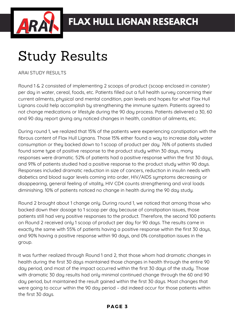

## Study Results

ARAI STUDY RESULTS

Round 1 & 2 consisted of implementing 2 scoops of product (scoop enclosed in canister) per day in water, cereal, foods, etc. Patients filled out a full health survey concerning their current ailments, physical and mental condition, pain levels and hopes for what Flax Hull Lignans could help accomplish by strengthening the immune system. Patients agreed to not change medications or lifestyle during the 90 day process. Patients delivered a 30, 60 and 90 day report giving any noticed changes in health, condition of ailments, etc.

During round 1, we realized that 15% of the patients were experiencing constipation with the fibrous content of Flax Hull Lignans. Those 15% either found a way to increase daily water consumption or they backed down to 1 scoop of product per day. 76% of patients studied found some type of positive response to the product study within 30 days, many responses were dramatic. 52% of patients had a positive response within the first 30 days, and 91% of patients studied had a positive response to the product study within 90 days. Responses included dramatic reduction in size of cancers, reduction in insulin needs with diabetics and blood sugar levels coming into order, HIV/AIDS symptoms decreasing or disappearing, general feeling of vitality, HIV CD4 counts strengthening and viral loads diminishing. 10% of patients noticed no change in health during the 90 day study.

Round 2 brought about 1 change only. During round 1, we noticed that among those who backed down their dosage to 1 scoop per day because of constipation issues, those patients still had very positive responses to the product. Therefore, the second 100 patients on Round 2 received only 1 scoop of product per day for 90 days. The results came in exactly the same with 55% of patients having a positive response within the first 30 days, and 90% having a positive response within 90 days, and 0% constipation issues in the group.

It was further realized through Round 1 and 2, that those whom had dramatic changes in health during the first 30 days maintained those changes in health through the entire 90 day period, and most of the impact occurred within the first 30 days of the study. Those with dramatic 30 day results had only minimal continued change through the 60 and 90 day period, but maintained the result gained within the first 30 days. Most changes that were going to occur within the 90 day period – did indeed occur for those patients within the first 30 days.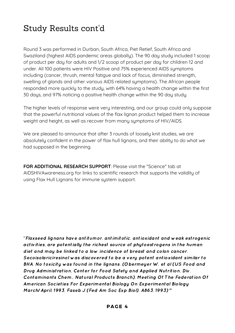### Study Results cont'd

Round 3 was performed in Durban, South Africa, Piet Retief, South Africa and Swaziland (highest AIDS pandemic areas globally). The 90 day study included 1 scoop of product per day for adults and 1/2 scoop of product per day for children 12 and under. All 100 patients were HIV Positive and 75% experienced AIDS symptoms including (cancer, thrush, mental fatigue and lack of focus, diminished strength, swelling of glands and other various AIDS related symptoms). The African people responded more quickly to the study, with 64% having a health change within the first 30 days, and 97% noticing a positive health change within the 90 day study.

The higher levels of response were very interesting, and our group could only suppose that the powerful nutritional values of the flax lignan product helped them to increase weight and height, as well as recover from many symptoms of HIV/AIDS.

We are pleased to announce that after 3 rounds of loosely knit studies, we are absolutely confident in the power of flax hull lignans, and their ability to do what we had supposed in the beginning.

**FOR ADDITIONAL RESEARCH SUPPORT**: Please visit the "Science" tab at AIDSHIVAwareness.org for links to scientific research that supports the validity of using Flax Hull Lignans for immune system support.

"Flaxseed lignans have antitumor, antimitotic, antioxidant and weak estrogenic activities, are potentially the richest source of phytoestrogens in the human diet and may be linked to a low incidence of breast and colon cancer. Secoisolariciresinol was discovered to be a very potent antioxidant similar to BHA. No toxicity was found in the lignans. (Obermeyer W, et al (US Food and Drug Administration, Center for Food Safety and Applied Nutrition, Div. Contaminants Chem., Natural Products Branch), Meeting Of The Federation Of American Societies For Experimental Biology On Experimental Biology March/April, 1993, Faseb J (Fed Am Soc Exp Biol), A863, 1993) "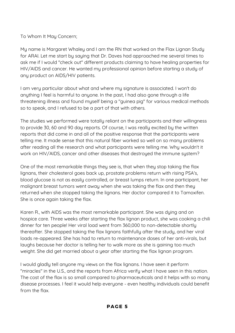To Whom It May Concern;

My name is Margaret Whaley and I am the RN that worked on the Flax Lignan Study for ARAI. Let me start by saying that Dr. Daves had approached me several times to ask me if I would "check out" different products claiming to have healing properties for HIV/AIDS and cancer. He wanted my professional opinion before starting a study of any product on AIDS/HIV patients.

I am very particular about what and where my signature is associated. I won't do anything I feel is harmful to anyone. In the past, I had also gone through a life threatening illness and found myself being a "guinea pig" for various medical methods so to speak, and I refused to be a part of that with others.

The studies we performed were totally reliant on the participants and their willingness to provide 30, 60 and 90 day reports. Of course, I was really excited by the written reports that did come in and all of the positive response that the participants were telling me. It made sense that this natural fiber worked so well on so many problems after reading all the research and what participants were telling me. Why wouldn't it work on HIV/AIDS, cancer and other diseases that destroyed the immune system?

One of the most remarkable things they see is, that when they stop taking the flax lignans, their cholesterol goes back up, prostate problems return with rising PSA's, blood glucose is not as easily controlled, or breast lumps return. In one participant, her malignant breast tumors went away when she was taking the flax and then they returned when she stopped taking the lignans. Her doctor compared it to Tamoxifen. She is once again taking the flax.

Karen R., with AIDS was the most remarkable participant. She was dying and on hospice care. Three weeks after starting the flax lignan product, she was cooking a chili dinner for ten people! Her viral load went from 360,000 to non-detectable shortly thereafter. She stopped taking the flax lignans faithfully after the study, and her viral loads re-appeared. She has had to return to maintenance doses of her anti-virals, but laughs because her doctor is telling her to walk more as she is gaining too much weight. She did get married about a year after starting the flax lignan program.

I would gladly tell anyone my views on the flax lignans. I have seen it perform "miracles" in the U.S., and the reports from Africa verify what I have seen in this nation. The cost of the flax is so small compared to pharmaceuticals and it helps with so many disease processes. I feel it would help everyone - even healthy individuals could benefit from the flax.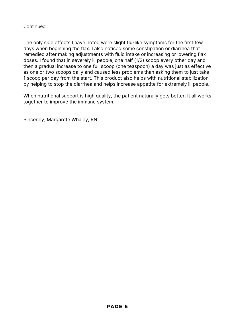Continued...

The only side effects I have noted were slight flu-like symptoms for the first few days when beginning the flax. I also noticed some constipation or diarrhea that remedied after making adjustments with fluid intake or increasing or lowering flax doses. I found that in severely ill people, one half (1/2) scoop every other day and then a gradual increase to one full scoop (one teaspoon) a day was just as effective as one or two scoops daily and caused less problems than asking them to just take 1 scoop per day from the start. This product also helps with nutritional stabilization by helping to stop the diarrhea and helps increase appetite for extremely ill people.

When nutritional support is high quality, the patient naturally gets better. It all works together to improve the immune system.

Sincerely, Margarete Whaley, RN